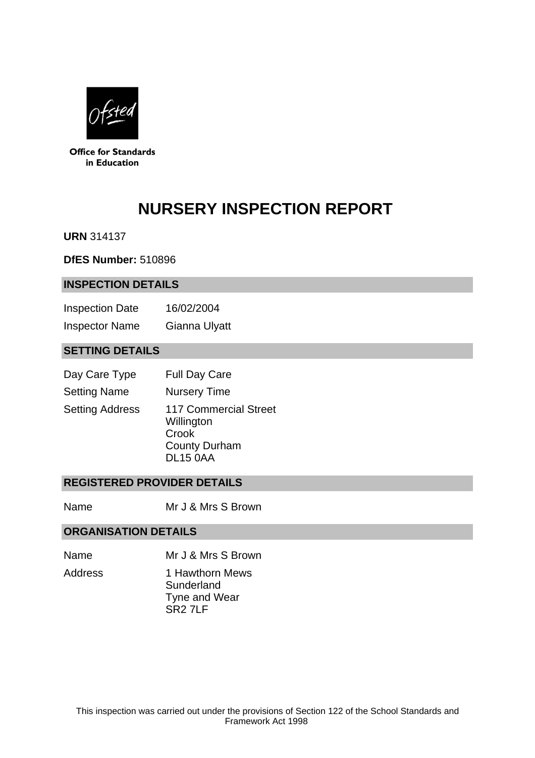

**Office for Standards** in Education

# **NURSERY INSPECTION REPORT**

**URN** 314137

**DfES Number:** 510896

#### **INSPECTION DETAILS**

| <b>Inspection Date</b> | 16/02/2004    |
|------------------------|---------------|
| <b>Inspector Name</b>  | Gianna Ulyatt |

# **SETTING DETAILS**

| Day Care Type          | <b>Full Day Care</b>                                                                           |
|------------------------|------------------------------------------------------------------------------------------------|
| <b>Setting Name</b>    | <b>Nursery Time</b>                                                                            |
| <b>Setting Address</b> | <b>117 Commercial Street</b><br>Willington<br>Crook<br><b>County Durham</b><br><b>DL15 0AA</b> |

## **REGISTERED PROVIDER DETAILS**

Name Mr J & Mrs S Brown

## **ORGANISATION DETAILS**

- Name Mr J & Mrs S Brown
- Address 1 Hawthorn Mews **Sunderland** Tyne and Wear SR2 7LF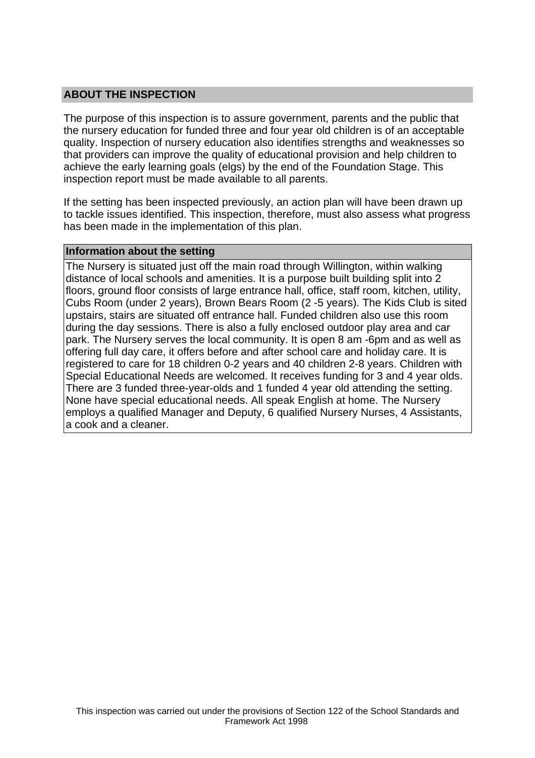## **ABOUT THE INSPECTION**

The purpose of this inspection is to assure government, parents and the public that the nursery education for funded three and four year old children is of an acceptable quality. Inspection of nursery education also identifies strengths and weaknesses so that providers can improve the quality of educational provision and help children to achieve the early learning goals (elgs) by the end of the Foundation Stage. This inspection report must be made available to all parents.

If the setting has been inspected previously, an action plan will have been drawn up to tackle issues identified. This inspection, therefore, must also assess what progress has been made in the implementation of this plan.

#### **Information about the setting**

The Nursery is situated just off the main road through Willington, within walking distance of local schools and amenities. It is a purpose built building split into 2 floors, ground floor consists of large entrance hall, office, staff room, kitchen, utility, Cubs Room (under 2 years), Brown Bears Room (2 -5 years). The Kids Club is sited upstairs, stairs are situated off entrance hall. Funded children also use this room during the day sessions. There is also a fully enclosed outdoor play area and car park. The Nursery serves the local community. It is open 8 am -6pm and as well as offering full day care, it offers before and after school care and holiday care. It is registered to care for 18 children 0-2 years and 40 children 2-8 years. Children with Special Educational Needs are welcomed. It receives funding for 3 and 4 year olds. There are 3 funded three-year-olds and 1 funded 4 year old attending the setting. None have special educational needs. All speak English at home. The Nursery employs a qualified Manager and Deputy, 6 qualified Nursery Nurses, 4 Assistants, a cook and a cleaner.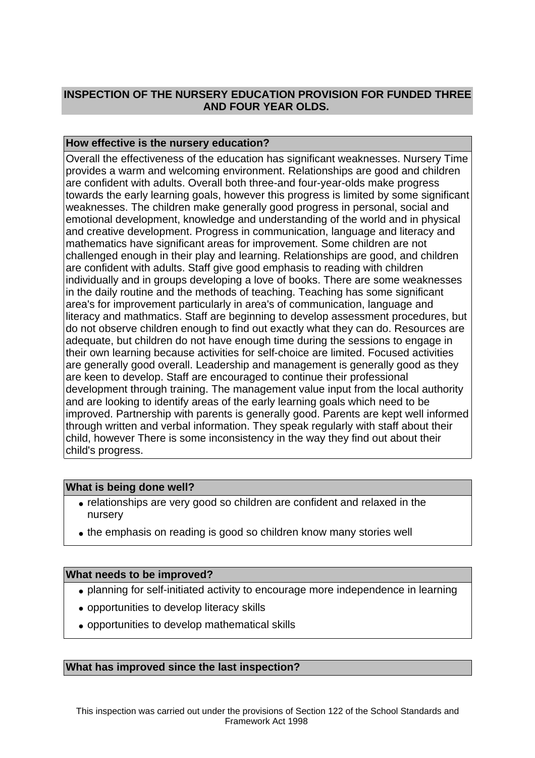## **INSPECTION OF THE NURSERY EDUCATION PROVISION FOR FUNDED THREE AND FOUR YEAR OLDS.**

## **How effective is the nursery education?**

Overall the effectiveness of the education has significant weaknesses. Nursery Time provides a warm and welcoming environment. Relationships are good and children are confident with adults. Overall both three-and four-year-olds make progress towards the early learning goals, however this progress is limited by some significant weaknesses. The children make generally good progress in personal, social and emotional development, knowledge and understanding of the world and in physical and creative development. Progress in communication, language and literacy and mathematics have significant areas for improvement. Some children are not challenged enough in their play and learning. Relationships are good, and children are confident with adults. Staff give good emphasis to reading with children individually and in groups developing a love of books. There are some weaknesses in the daily routine and the methods of teaching. Teaching has some significant area's for improvement particularly in area's of communication, language and literacy and mathmatics. Staff are beginning to develop assessment procedures, but do not observe children enough to find out exactly what they can do. Resources are adequate, but children do not have enough time during the sessions to engage in their own learning because activities for self-choice are limited. Focused activities are generally good overall. Leadership and management is generally good as they are keen to develop. Staff are encouraged to continue their professional development through training. The management value input from the local authority and are looking to identify areas of the early learning goals which need to be improved. Partnership with parents is generally good. Parents are kept well informed through written and verbal information. They speak regularly with staff about their child, however There is some inconsistency in the way they find out about their child's progress.

## **What is being done well?**

- relationships are very good so children are confident and relaxed in the nursery
- the emphasis on reading is good so children know many stories well

## **What needs to be improved?**

- planning for self-initiated activity to encourage more independence in learning
- opportunities to develop literacy skills
- opportunities to develop mathematical skills

#### **What has improved since the last inspection?**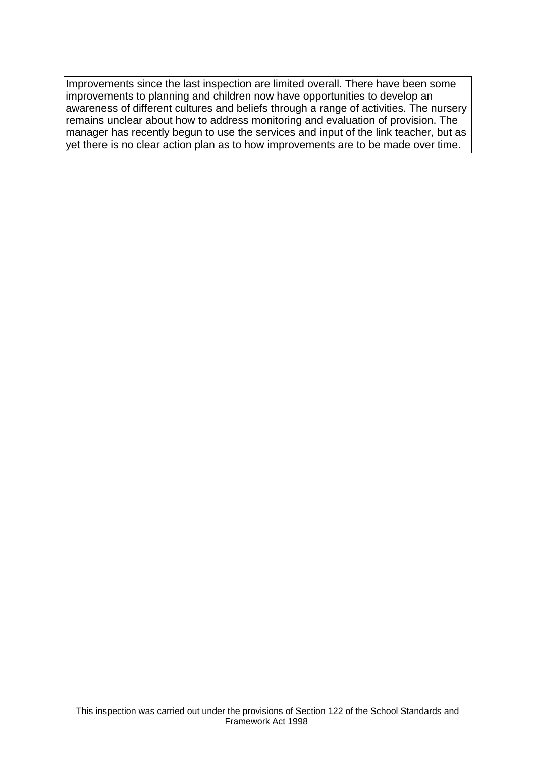Improvements since the last inspection are limited overall. There have been some improvements to planning and children now have opportunities to develop an awareness of different cultures and beliefs through a range of activities. The nursery remains unclear about how to address monitoring and evaluation of provision. The manager has recently begun to use the services and input of the link teacher, but as yet there is no clear action plan as to how improvements are to be made over time.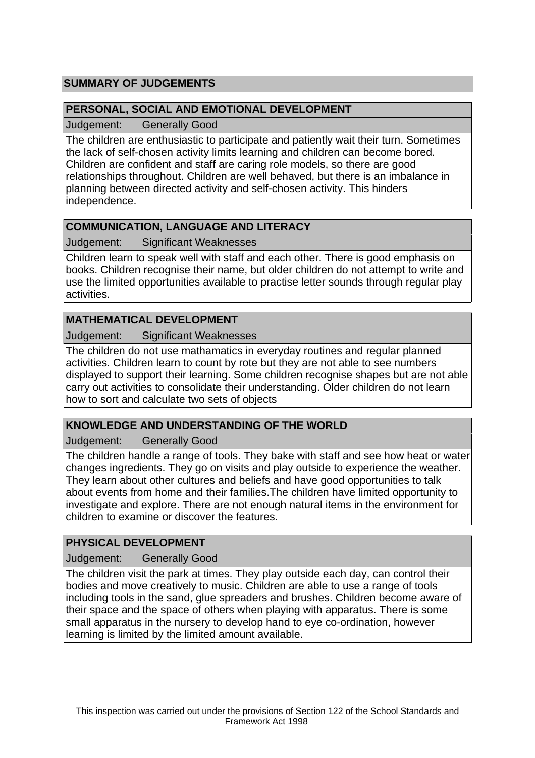# **SUMMARY OF JUDGEMENTS**

## **PERSONAL, SOCIAL AND EMOTIONAL DEVELOPMENT**

Judgement: Generally Good

The children are enthusiastic to participate and patiently wait their turn. Sometimes the lack of self-chosen activity limits learning and children can become bored. Children are confident and staff are caring role models, so there are good relationships throughout. Children are well behaved, but there is an imbalance in planning between directed activity and self-chosen activity. This hinders independence.

# **COMMUNICATION, LANGUAGE AND LITERACY**

Judgement: Significant Weaknesses

Children learn to speak well with staff and each other. There is good emphasis on books. Children recognise their name, but older children do not attempt to write and use the limited opportunities available to practise letter sounds through regular play activities.

## **MATHEMATICAL DEVELOPMENT**

Judgement: Significant Weaknesses

The children do not use mathamatics in everyday routines and regular planned activities. Children learn to count by rote but they are not able to see numbers displayed to support their learning. Some children recognise shapes but are not able carry out activities to consolidate their understanding. Older children do not learn how to sort and calculate two sets of objects

# **KNOWLEDGE AND UNDERSTANDING OF THE WORLD**

Judgement: Generally Good

The children handle a range of tools. They bake with staff and see how heat or water changes ingredients. They go on visits and play outside to experience the weather. They learn about other cultures and beliefs and have good opportunities to talk about events from home and their families.The children have limited opportunity to investigate and explore. There are not enough natural items in the environment for children to examine or discover the features.

# **PHYSICAL DEVELOPMENT**

Judgement: Generally Good

The children visit the park at times. They play outside each day, can control their bodies and move creatively to music. Children are able to use a range of tools including tools in the sand, glue spreaders and brushes. Children become aware of their space and the space of others when playing with apparatus. There is some small apparatus in the nursery to develop hand to eye co-ordination, however learning is limited by the limited amount available.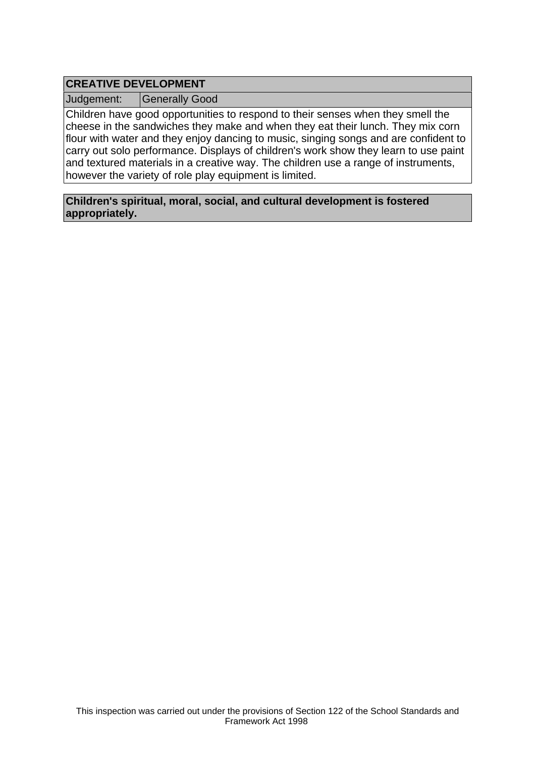# **CREATIVE DEVELOPMENT**

Judgement: Generally Good

Children have good opportunities to respond to their senses when they smell the cheese in the sandwiches they make and when they eat their lunch. They mix corn flour with water and they enjoy dancing to music, singing songs and are confident to carry out solo performance. Displays of children's work show they learn to use paint and textured materials in a creative way. The children use a range of instruments, however the variety of role play equipment is limited.

**Children's spiritual, moral, social, and cultural development is fostered appropriately.**